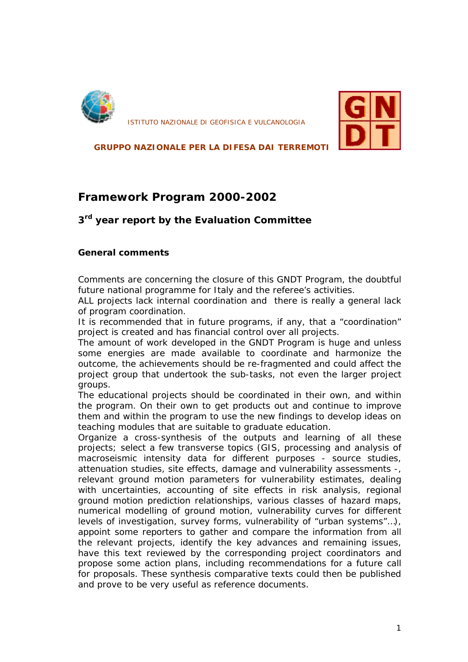

*ISTITUTO NAZIONALE DI GEOFISICA E VULCANOLOGIA*



**GRUPPO NAZIONALE PER LA DIFESA DAI TERREMOTI**

### *Framework Program 2000-2002*

### *3 rd year report by the Evaluation Committee*

### **General comments**

Comments are concerning the closure of this GNDT Program, the doubtful future national programme for Italy and the referee's activities.

ALL projects lack internal coordination and there is really a general lack of program coordination.

It is recommended that in future programs, if any, that a "coordination" project is created and has financial control over all projects.

The amount of work developed in the GNDT Program is huge and unless some energies are made available to coordinate and harmonize the outcome, the achievements should be re-fragmented and could affect the project group that undertook the sub-tasks, not even the larger project groups.

The educational projects should be coordinated in their own, and within the program. On their own to get products out and continue to improve them and within the program to use the new findings to develop ideas on teaching modules that are suitable to graduate education.

Organize a cross-synthesis of the outputs and learning of all these projects; select a few transverse topics (GIS, processing and analysis of macroseismic intensity data for different purposes - source studies, attenuation studies, site effects, damage and vulnerability assessments -, relevant ground motion parameters for vulnerability estimates, dealing with uncertainties, accounting of site effects in risk analysis, regional ground motion prediction relationships, various classes of hazard maps, numerical modelling of ground motion, vulnerability curves for different levels of investigation, survey forms, vulnerability of "urban systems"…), appoint some reporters to gather and compare the information from all the relevant projects, identify the key advances and remaining issues, have this text reviewed by the corresponding project coordinators and propose some action plans, including recommendations for a future call for proposals. These synthesis comparative texts could then be published and prove to be very useful as reference documents.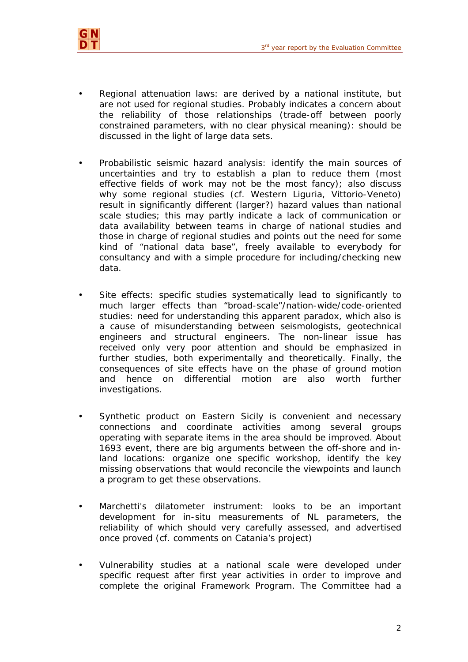

- Regional attenuation laws: are derived by a national institute, but are not used for regional studies. Probably indicates a concern about the reliability of those relationships (trade-off between poorly constrained parameters, with no clear physical meaning): should be discussed in the light of large data sets.
- Probabilistic seismic hazard analysis: identify the main sources of uncertainties and try to establish a plan to reduce them (most effective fields of work may not be the most fancy); also discuss why some regional studies (cf. Western Liguria, Vittorio-Veneto) result in significantly different (larger?) hazard values than national scale studies; this may partly indicate a lack of communication or data availability between teams in charge of national studies and those in charge of regional studies and points out the need for some kind of "national data base", freely available to everybody for consultancy and with a simple procedure for including/checking new data.
- Site effects: specific studies systematically lead to significantly to much larger effects than "broad-scale"/nation-wide/code-oriented studies: need for understanding this apparent paradox, which also is a cause of misunderstanding between seismologists, geotechnical engineers and structural engineers. The non-linear issue has received only very poor attention and should be emphasized in further studies, both experimentally and theoretically. Finally, the consequences of site effects have on the phase of ground motion and hence on differential motion are also worth further investigations.
- Synthetic product on Eastern Sicily is convenient and necessary connections and coordinate activities among several groups operating with separate items in the area should be improved. About 1693 event, there are big arguments between the off-shore and inland locations: organize one specific workshop, identify the key missing observations that would reconcile the viewpoints and launch a program to get these observations.
- Marchetti's dilatometer instrument: looks to be an important development for in-situ measurements of NL parameters, the reliability of which should very carefully assessed, and advertised once proved (cf. comments on Catania's project)
- Vulnerability studies at a national scale were developed under specific request after first year activities in order to improve and complete the original Framework Program. The Committee had a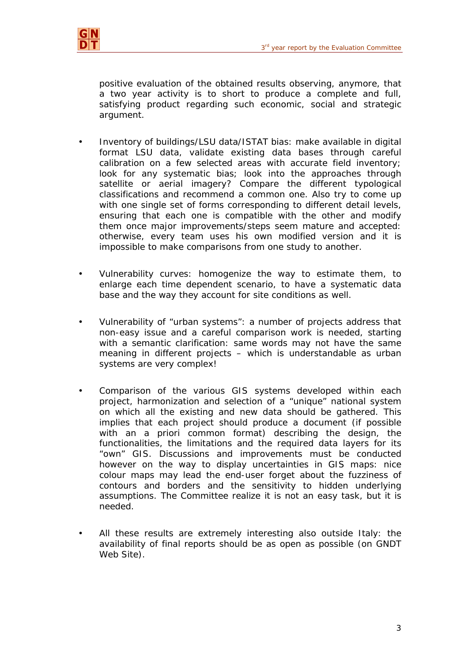

positive evaluation of the obtained results observing, anymore, that a two year activity is to short to produce a complete and full, satisfying product regarding such economic, social and strategic argument.

- Inventory of buildings/LSU data/ISTAT bias: make available in digital format LSU data, validate existing data bases through careful calibration on a few selected areas with accurate field inventory; look for any systematic bias; look into the approaches through satellite or aerial imagery? Compare the different typological classifications and recommend a common one. Also try to come up with one single set of forms corresponding to different detail levels, ensuring that each one is compatible with the other and modify them once major improvements/steps seem mature and accepted: otherwise, every team uses his own modified version and it is impossible to make comparisons from one study to another.
- Vulnerability curves: homogenize the way to estimate them, to enlarge each time dependent scenario, to have a systematic data base and the way they account for site conditions as well.
- Vulnerability of "urban systems": a number of projects address that non-easy issue and a careful comparison work is needed, starting with a semantic clarification: same words may not have the same meaning in different projects – which is understandable as urban systems are very complex!
- Comparison of the various GIS systems developed within each project, harmonization and selection of a "unique" national system on which all the existing and new data should be gathered. This implies that each project should produce a document (if possible with an a priori common format) describing the design, the functionalities, the limitations and the required data layers for its "own" GIS. Discussions and improvements must be conducted however on the way to display uncertainties in GIS maps: nice colour maps may lead the end-user forget about the fuzziness of contours and borders and the sensitivity to hidden underlying assumptions. The Committee realize it is not an easy task, but it is needed.
- All these results are extremely interesting also outside Italy: the availability of final reports should be as open as possible (on GNDT Web Site).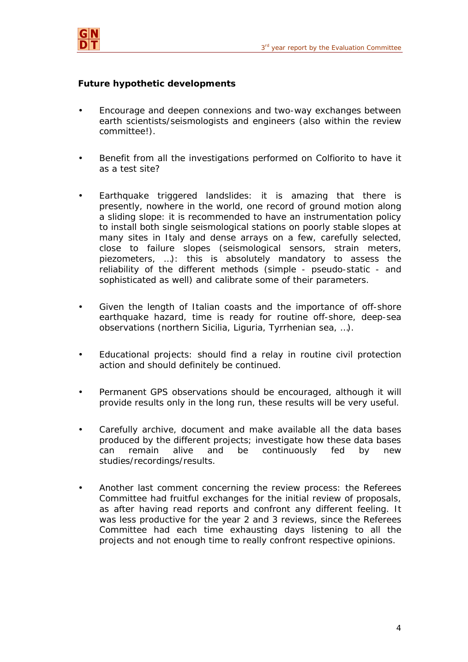

### **Future hypothetic developments**

- Encourage and deepen connexions and two-way exchanges between earth scientists/seismologists and engineers (also within the review committee!).
- Benefit from all the investigations performed on Colfiorito to have it as a test site?
- Earthquake triggered landslides: it is amazing that there is presently, nowhere in the world, one record of ground motion along a sliding slope: it is recommended to have an instrumentation policy to install both single seismological stations on poorly stable slopes at many sites in Italy and dense arrays on a few, carefully selected, close to failure slopes (seismological sensors, strain meters, piezometers, …): this is absolutely mandatory to assess the reliability of the different methods (simple - pseudo-static - and sophisticated as well) and calibrate some of their parameters.
- Given the length of Italian coasts and the importance of off-shore earthquake hazard, time is ready for routine off-shore, deep-sea observations (northern Sicilia, Liguria, Tyrrhenian sea, …).
- Educational projects: should find a relay in routine civil protection action and should definitely be continued.
- Permanent GPS observations should be encouraged, although it will provide results only in the long run, these results will be very useful.
- Carefully archive, document and make available all the data bases produced by the different projects; investigate how these data bases can remain alive and be continuously fed by new studies/recordings/results.
- Another last comment concerning the review process: the Referees Committee had fruitful exchanges for the initial review of proposals, as after having read reports and confront any different feeling. It was less productive for the year 2 and 3 reviews, since the Referees Committee had each time exhausting days listening to all the projects and not enough time to really confront respective opinions.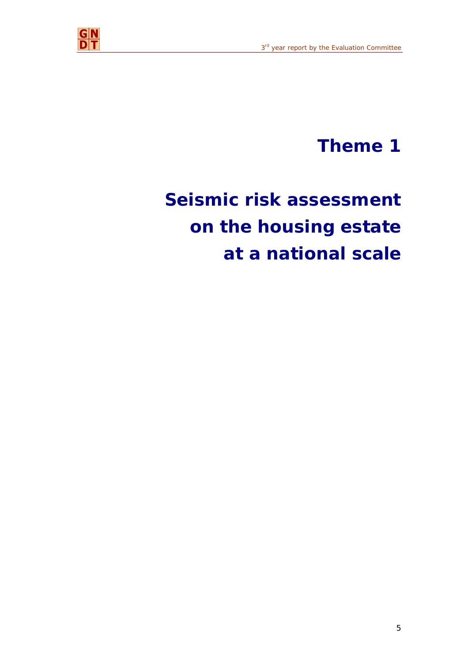

## **Theme 1**

# **Seismic risk assessment on the housing estate at a national scale**